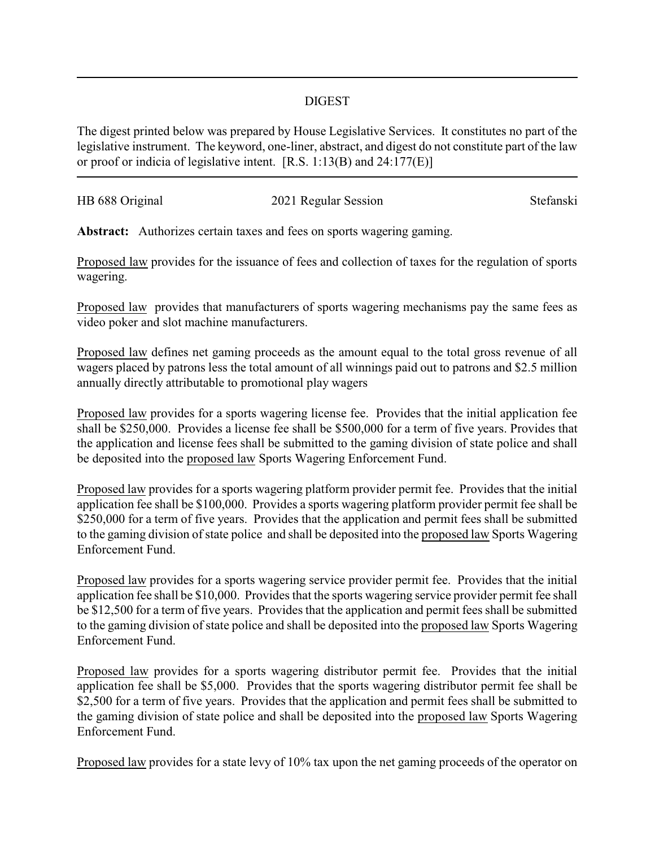## DIGEST

The digest printed below was prepared by House Legislative Services. It constitutes no part of the legislative instrument. The keyword, one-liner, abstract, and digest do not constitute part of the law or proof or indicia of legislative intent. [R.S. 1:13(B) and 24:177(E)]

| HB 688 Original | 2021 Regular Session | Stefanski |
|-----------------|----------------------|-----------|
|                 |                      |           |

**Abstract:** Authorizes certain taxes and fees on sports wagering gaming.

Proposed law provides for the issuance of fees and collection of taxes for the regulation of sports wagering.

Proposed law provides that manufacturers of sports wagering mechanisms pay the same fees as video poker and slot machine manufacturers.

Proposed law defines net gaming proceeds as the amount equal to the total gross revenue of all wagers placed by patrons less the total amount of all winnings paid out to patrons and \$2.5 million annually directly attributable to promotional play wagers

Proposed law provides for a sports wagering license fee. Provides that the initial application fee shall be \$250,000. Provides a license fee shall be \$500,000 for a term of five years. Provides that the application and license fees shall be submitted to the gaming division of state police and shall be deposited into the proposed law Sports Wagering Enforcement Fund.

Proposed law provides for a sports wagering platform provider permit fee. Provides that the initial application fee shall be \$100,000. Provides a sports wagering platform provider permit fee shall be \$250,000 for a term of five years. Provides that the application and permit fees shall be submitted to the gaming division of state police and shall be deposited into the proposed law Sports Wagering Enforcement Fund.

Proposed law provides for a sports wagering service provider permit fee. Provides that the initial application fee shall be \$10,000. Provides that the sports wagering service provider permit fee shall be \$12,500 for a term of five years. Provides that the application and permit fees shall be submitted to the gaming division of state police and shall be deposited into the proposed law Sports Wagering Enforcement Fund.

Proposed law provides for a sports wagering distributor permit fee. Provides that the initial application fee shall be \$5,000. Provides that the sports wagering distributor permit fee shall be \$2,500 for a term of five years. Provides that the application and permit fees shall be submitted to the gaming division of state police and shall be deposited into the proposed law Sports Wagering Enforcement Fund.

Proposed law provides for a state levy of 10% tax upon the net gaming proceeds of the operator on